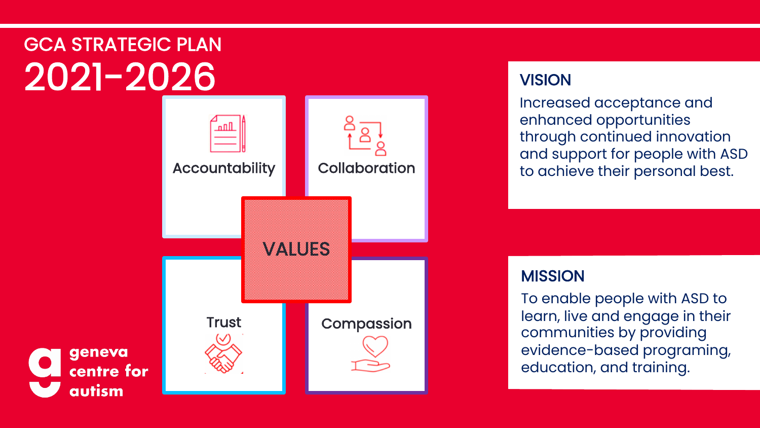# GCA STRATEGIC PLAN 2021-2026

geneva

autism



# **VISION**

Increased acceptance and enhanced opportunities through continued innovation and support for people with ASD to achieve their personal best.

# **MISSION**

To enable people with ASD to learn, live and engage in their communities by providing evidence-based programing, education, and training.